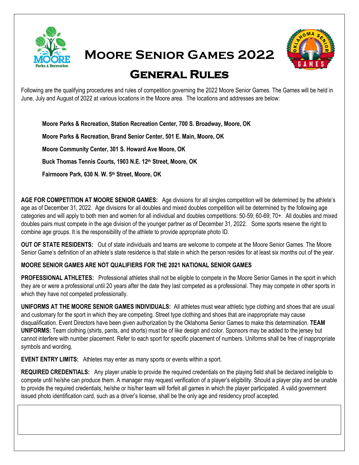

**Moore Senior Games 2022** 



## **General Rules**

Following are the qualifying procedures and rules of competition governing the 2022 Moore Senior Games. The Games will be held in June, July and August of 2022 at various locations in the Moore area. The locations and addresses are below:

**Moore Parks & Recreation, Station Recreation Center, 700 S. Broadway, Moore, OK**

**Moore Parks & Recreation, Brand Senior Center, 501 E. Main, Moore, OK**

**Moore Community Center, 301 S. Howard Ave Moore, OK** 

**Buck Thomas Tennis Courts, 1903 N.E. 12th Street, Moore, OK**

**Fairmoore Park, 630 N. W. 5th Street, Moore, OK**

**AGE FOR COMPETITION AT MOORE SENIOR GAMES:** Age divisions for all singles competition will be determined by the athlete's age as of December 31, 2022. Age divisions for all doubles and mixed doubles competition will be determined by the following age categories and will apply to both men and women for all individual and doubles competitions: 50-59; 60-69; 70+. All doubles and mixed doubles pairs must compete in the age division of the younger partner as of December 31, 2022. Some sports reserve the right to combine age groups. It is the responsibility of the athlete to provide appropriate photo ID.

**OUT OF STATE RESIDENTS:** Out of state individuals and teams are welcome to compete at the Moore Senior Games. The Moore Senior Game's definition of an athlete's state residence is that state in which the person resides for at least six months out of the year.

### **MOORE SENIOR GAMES ARE NOT QUALIFIERS FOR THE 2021 NATIONAL SENIOR GAMES**

**PROFESSIONAL ATHLETES:** Professional athletes shall not be eligible to compete in the Moore Senior Games in the sport in which they are or were a professional until 20 years after the date they last competed as a professional. They may compete in other sports in which they have not competed professionally.

**UNIFORMS AT THE MOORE SENIOR GAMES INDIVIDUALS:** All athletes must wear athletic type clothing and shoes that are usual and customary for the sport in which they are competing. Street type clothing and shoes that are inappropriate may cause disqualification. Event Directors have been given authorization by the Oklahoma Senior Games to make this determination. **TEAM UNIFORMS:** Team clothing (shirts, pants, and shorts) must be of like design and color. Sponsors may be added to the jersey but cannot interfere with number placement. Refer to each sport for specific placement of numbers. Uniforms shall be free of inappropriate symbols and wording.

**EVENT ENTRY LIMITS:** Athletes may enter as many sports or events within a sport.

**REQUIRED CREDENTIALS:** Any player unable to provide the required credentials on the playing field shall be declared ineligible to compete until he/she can produce them. A manager may request verification of a player's eligibility. Should a player play and be unable to provide the required credentials, he/she or his/her team will forfeit all games in which the player participated. A valid government issued photo identification card, such as a driver's license, shall be the only age and residency proof accepted.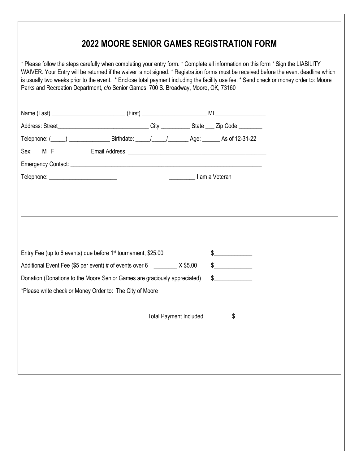### **2022 MOORE SENIOR GAMES REGISTRATION FORM**

\* Please follow the steps carefully when completing your entry form. \* Complete all information on this form \* Sign the LIABILITY WAIVER. Your Entry will be returned if the waiver is not signed. \* Registration forms must be received before the event deadline which is usually two weeks prior to the event. \* Enclose total payment including the facility use fee. \* Send check or money order to: Moore Parks and Recreation Department, c/o Senior Games, 700 S. Broadway, Moore, OK, 73160

| Telephone: ( <u>12-31-22</u> Birthdate: 11.1 - 1 - 1 Age: As of 12-31-22   |  |                               |  |               |  |
|----------------------------------------------------------------------------|--|-------------------------------|--|---------------|--|
| M F<br>Sex:                                                                |  |                               |  |               |  |
|                                                                            |  |                               |  |               |  |
|                                                                            |  |                               |  |               |  |
|                                                                            |  |                               |  |               |  |
|                                                                            |  |                               |  |               |  |
|                                                                            |  |                               |  |               |  |
|                                                                            |  |                               |  |               |  |
|                                                                            |  |                               |  |               |  |
|                                                                            |  |                               |  | $\frac{1}{2}$ |  |
| Entry Fee (up to 6 events) due before 1 <sup>st</sup> tournament, \$25.00  |  |                               |  |               |  |
| Additional Event Fee (\$5 per event) # of events over 6 _________ X \$5.00 |  |                               |  | $\frac{1}{2}$ |  |
| Donation (Donations to the Moore Senior Games are graciously appreciated)  |  |                               |  | $\sim$        |  |
| *Please write check or Money Order to: The City of Moore                   |  |                               |  |               |  |
|                                                                            |  |                               |  |               |  |
|                                                                            |  | <b>Total Payment Included</b> |  | $\frac{1}{2}$ |  |
|                                                                            |  |                               |  |               |  |
|                                                                            |  |                               |  |               |  |
|                                                                            |  |                               |  |               |  |
|                                                                            |  |                               |  |               |  |
|                                                                            |  |                               |  |               |  |
|                                                                            |  |                               |  |               |  |
|                                                                            |  |                               |  |               |  |
|                                                                            |  |                               |  |               |  |
|                                                                            |  |                               |  |               |  |
|                                                                            |  |                               |  |               |  |
|                                                                            |  |                               |  |               |  |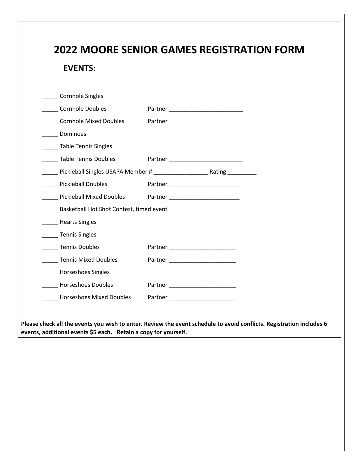# **2022 MOORE SENIOR GAMES REGISTRATION FORM EVENTS:** \_\_\_\_\_ Cornhole Singles \_\_\_\_\_ Cornhole Doubles Partner \_\_\_\_\_\_\_\_\_\_\_\_\_\_\_\_\_\_\_\_\_\_\_ \_\_\_\_\_ Cornhole Mixed Doubles Partner \_\_\_\_\_\_\_\_\_\_\_\_\_\_\_\_\_\_\_\_\_\_\_ Dominoes \_\_\_\_\_ Table Tennis Singles Table Tennis Doubles Partner Letter And Table Tennis Doubles \_\_\_\_\_ Pickleball Singles USAPA Member # \_\_\_\_\_\_\_\_\_\_\_\_\_\_\_\_\_ Rating \_\_\_\_\_\_\_\_\_ Pickleball Doubles Partner Partner Partner All Prickleball Doubles \_\_\_\_\_ Pickleball Mixed Doubles Partner \_\_\_\_\_\_\_\_\_\_\_\_\_\_\_\_\_\_\_\_\_\_ \_\_\_\_\_ Basketball Hot Shot Contest, timed event \_\_\_\_\_ Hearts Singles \_\_\_\_\_ Tennis Singles \_\_\_\_\_ Tennis Doubles Partner \_\_\_\_\_\_\_\_\_\_\_\_\_\_\_\_\_\_\_\_\_ Tennis Mixed Doubles **Partner** Partner \_\_\_\_\_ Horseshoes Singles Horseshoes Doubles Partner Louis Louis Louis Louis Louis Louis Louis Louis Louis Louis Louis Louis Louis Louis \_\_\_\_\_ Horseshoes Mixed Doubles Partner \_\_\_\_\_\_\_\_\_\_\_\_\_\_\_\_\_\_\_\_\_ **Please check all the events you wish to enter. Review the event schedule to avoid conflicts. Registration includes 6 events, additional events \$5 each. Retain a copy for yourself.**